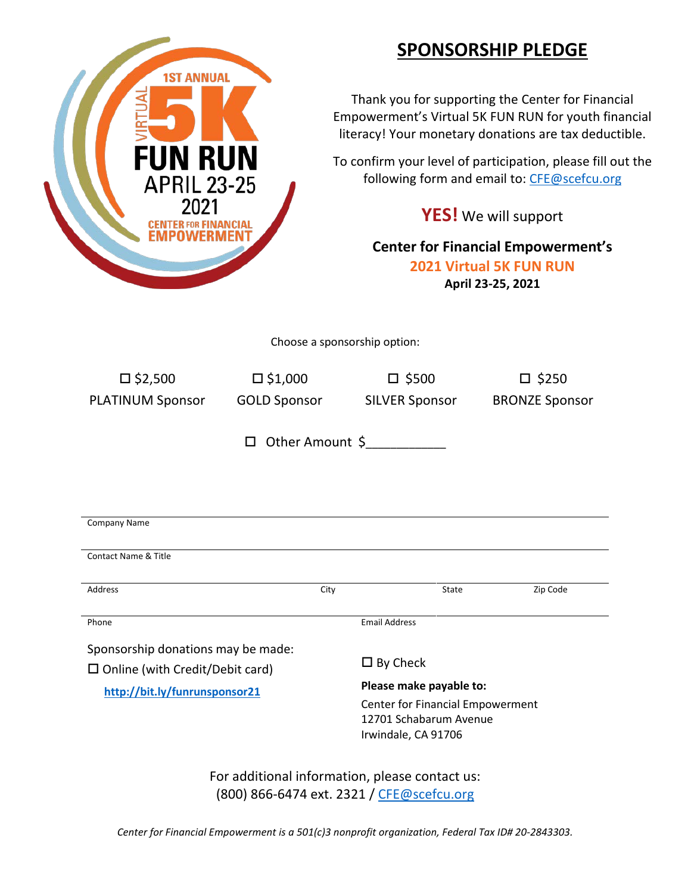## **SPONSORSHIP PLEDGE**

Thank you for supporting the Center for Financial Empowerment's Virtual 5K FUN RUN for youth financial literacy! Your monetary donations are tax deductible.

To confirm your level of participation, please fill out the following form and email to: [CFE@scefcu.org](mailto:CFE@scefcu.org)

**YES!** We will support

**Center for Financial Empowerment's 2021 Virtual 5K FUN RUN April 23-25, 2021**

Choose a sponsorship option:

**1ST ANNUAL** 

N RUN

**APRIL 23-25** 

**CENTER FOR FINANCIAL** 

| $\square$ \$2,500                         | $\square$ \$1,000   | $\square$ \$500                  | $\square$ \$250       |
|-------------------------------------------|---------------------|----------------------------------|-----------------------|
| <b>PLATINUM Sponsor</b>                   | <b>GOLD Sponsor</b> | <b>SILVER Sponsor</b>            | <b>BRONZE Sponsor</b> |
|                                           |                     |                                  |                       |
| Other Amount \$<br>$\Box$                 |                     |                                  |                       |
|                                           |                     |                                  |                       |
|                                           |                     |                                  |                       |
|                                           |                     |                                  |                       |
| Company Name                              |                     |                                  |                       |
|                                           |                     |                                  |                       |
| <b>Contact Name &amp; Title</b>           |                     |                                  |                       |
| Address                                   | City                | State                            | Zip Code              |
|                                           |                     |                                  |                       |
| Phone                                     |                     | <b>Email Address</b>             |                       |
| Sponsorship donations may be made:        |                     |                                  |                       |
| $\square$ Online (with Credit/Debit card) |                     | $\square$ By Check               |                       |
| http://bit.ly/funrunsponsor21             |                     | Please make payable to:          |                       |
|                                           |                     | Center for Financial Empowerment |                       |
|                                           |                     | 12701 Schabarum Avenue           |                       |
|                                           |                     | Irwindale, CA 91706              |                       |
|                                           |                     |                                  |                       |

For additional information, please contact us: (800) 866-6474 ext. 2321 / [CFE@scefcu.org](mailto:CFE@scefcu.org)

*Center for Financial Empowerment is a 501(c)3 nonprofit organization, Federal Tax ID# 20-2843303.*